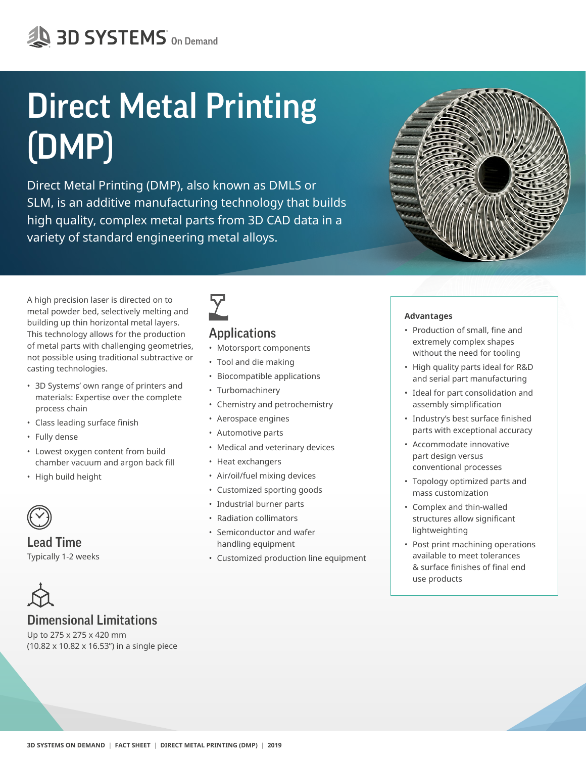# Direct Metal Printing (DMP)

Direct Metal Printing (DMP), also known as DMLS or SLM, is an additive manufacturing technology that builds high quality, complex metal parts from 3D CAD data in a variety of standard engineering metal alloys.

A high precision laser is directed on to metal powder bed, selectively melting and building up thin horizontal metal layers. This technology allows for the production of metal parts with challenging geometries, not possible using traditional subtractive or casting technologies.

- 3D Systems' own range of printers and materials: Expertise over the complete process chain
- • Class leading surface finish
- Fully dense
- Lowest oxygen content from build chamber vacuum and argon back fill
- High build height



Lead Time Typically 1-2 weeks

### Dimensional Limitations

Up to 275 x 275 x 420 mm (10.82 x 10.82 x 16.53") in a single piece



### Applications

- Motorsport components
- Tool and die making
- Biocompatible applications
- Turbomachinery
- Chemistry and petrochemistry
- Aerospace engines
- Automotive parts
- Medical and veterinary devices
- Heat exchangers
- Air/oil/fuel mixing devices
- Customized sporting goods
- Industrial burner parts
- Radiation collimators
- Semiconductor and wafer handling equipment
- Customized production line equipment



#### **Advantages**

- • Production of small, fine and extremely complex shapes without the need for tooling
- High quality parts ideal for R&D and serial part manufacturing
- Ideal for part consolidation and assembly simplification
- • Industry's best surface finished parts with exceptional accuracy
- Accommodate innovative part design versus conventional processes
- Topology optimized parts and mass customization
- Complex and thin-walled structures allow significant lightweighting
- Post print machining operations available to meet tolerances & surface finishes of final end use products